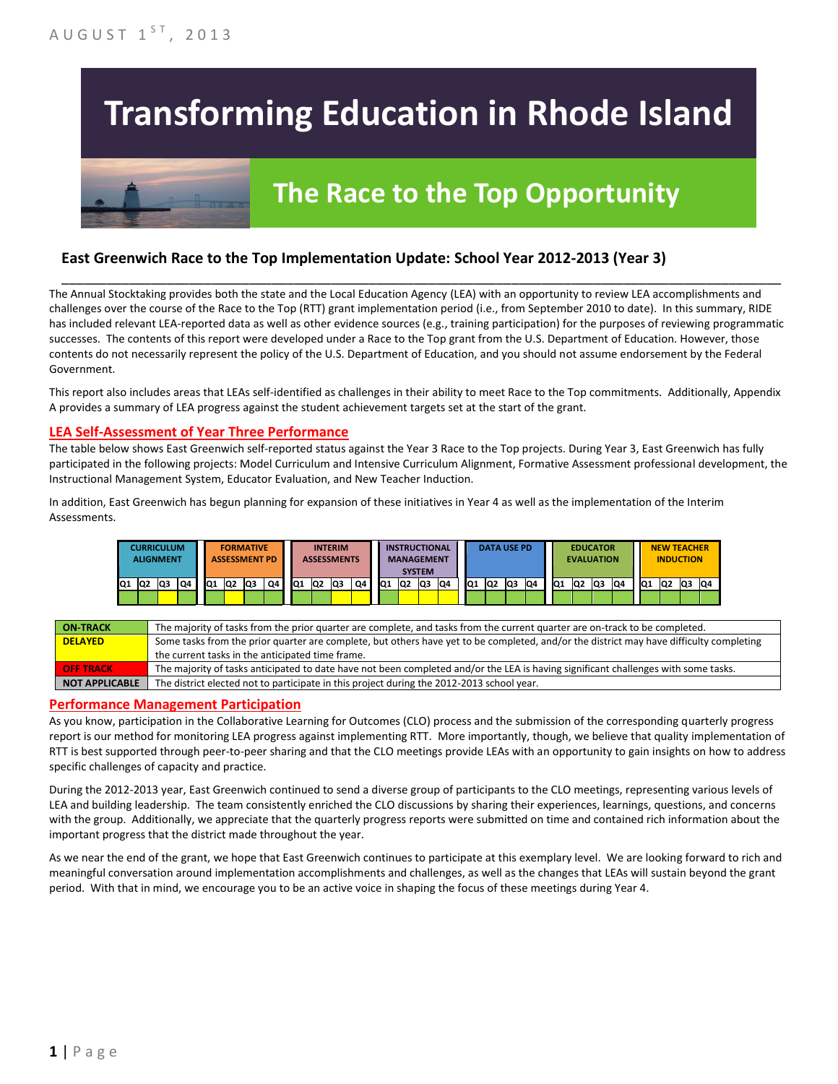# **Transforming Education in Rhode Island**

## **The Race to the Top Opportunity**

#### **East Greenwich Race to the Top Implementation Update: School Year 2012-2013 (Year 3)**

The Annual Stocktaking provides both the state and the Local Education Agency (LEA) with an opportunity to review LEA accomplishments and challenges over the course of the Race to the Top (RTT) grant implementation period (i.e., from September 2010 to date). In this summary, RIDE has included relevant LEA-reported data as well as other evidence sources (e.g., training participation) for the purposes of reviewing programmatic successes. The contents of this report were developed under a Race to the Top grant from the U.S. Department of Education. However, those contents do not necessarily represent the policy of the U.S. Department of Education, and you should not assume endorsement by the Federal Government.

\_\_\_\_\_\_\_\_\_\_\_\_\_\_\_\_\_\_\_\_\_\_\_\_\_\_\_\_\_\_\_\_\_\_\_\_\_\_\_\_\_\_\_\_\_\_\_\_\_\_\_\_\_\_\_\_\_\_\_\_\_\_\_\_\_\_\_\_\_\_\_\_\_\_\_\_\_\_\_\_\_\_\_\_\_\_\_\_\_\_\_\_\_\_\_\_

This report also includes areas that LEAs self-identified as challenges in their ability to meet Race to the Top commitments. Additionally, Appendix A provides a summary of LEA progress against the student achievement targets set at the start of the grant.

#### **LEA Self-Assessment of Year Three Performance**

The table below shows East Greenwich self-reported status against the Year 3 Race to the Top projects. During Year 3, East Greenwich has fully participated in the following projects: Model Curriculum and Intensive Curriculum Alignment, Formative Assessment professional development, the Instructional Management System, Educator Evaluation, and New Teacher Induction.

In addition, East Greenwich has begun planning for expansion of these initiatives in Year 4 as well as the implementation of the Interim Assessments.

|     | <b>CURRICULUM</b><br><b>ALIGNMENT</b> |     |    |     | <b>FORMATIVE</b><br><b>ASSESSMENT PD</b> |    |    |    |                | <b>INTERIM</b><br><b>ASSESSMENTS</b> |    |    |    | <b>INSTRUCTIONAL</b><br><b>MANAGEMENT</b><br><b>SYSTEM</b> |    |                 | <b>DATA USE PD</b> |    |     |                 | <b>EVALUATION</b> | <b>EDUCATOR</b> |    |                 | <b>NEW TEACHER</b><br><b>INDUCTION</b> |     |     |
|-----|---------------------------------------|-----|----|-----|------------------------------------------|----|----|----|----------------|--------------------------------------|----|----|----|------------------------------------------------------------|----|-----------------|--------------------|----|-----|-----------------|-------------------|-----------------|----|-----------------|----------------------------------------|-----|-----|
| IQ1 | Q2                                    | lQ3 | Q4 | lQ1 | Q <sub>2</sub>                           | Q3 | Q4 | Q1 | Q <sub>2</sub> | lQ3                                  | Q4 | Q1 | Q2 | Q3                                                         | Q4 | IQ <sub>1</sub> | Q2                 | Q3 | IQ4 | IQ <sub>1</sub> | Q2                | lQ3             | Q4 | IQ <sub>1</sub> | Q2                                     | lQ3 | IQ4 |
|     |                                       |     |    |     |                                          |    |    |    |                |                                      |    |    |    |                                                            |    |                 |                    |    |     |                 |                   |                 |    |                 |                                        |     |     |

| <b>ON-TRACK</b>       | The majority of tasks from the prior quarter are complete, and tasks from the current quarter are on-track to be completed.             |
|-----------------------|-----------------------------------------------------------------------------------------------------------------------------------------|
| <b>DELAYED</b>        | Some tasks from the prior quarter are complete, but others have yet to be completed, and/or the district may have difficulty completing |
|                       | the current tasks in the anticipated time frame.                                                                                        |
| <b>OFF TRACK</b>      | The majority of tasks anticipated to date have not been completed and/or the LEA is having significant challenges with some tasks.      |
| <b>NOT APPLICABLE</b> | The district elected not to participate in this project during the 2012-2013 school year.                                               |

#### **Performance Management Participation**

As you know, participation in the Collaborative Learning for Outcomes (CLO) process and the submission of the corresponding quarterly progress report is our method for monitoring LEA progress against implementing RTT. More importantly, though, we believe that quality implementation of RTT is best supported through peer-to-peer sharing and that the CLO meetings provide LEAs with an opportunity to gain insights on how to address specific challenges of capacity and practice.

During the 2012-2013 year, East Greenwich continued to send a diverse group of participants to the CLO meetings, representing various levels of LEA and building leadership. The team consistently enriched the CLO discussions by sharing their experiences, learnings, questions, and concerns with the group. Additionally, we appreciate that the quarterly progress reports were submitted on time and contained rich information about the important progress that the district made throughout the year.

As we near the end of the grant, we hope that East Greenwich continues to participate at this exemplary level. We are looking forward to rich and meaningful conversation around implementation accomplishments and challenges, as well as the changes that LEAs will sustain beyond the grant period. With that in mind, we encourage you to be an active voice in shaping the focus of these meetings during Year 4.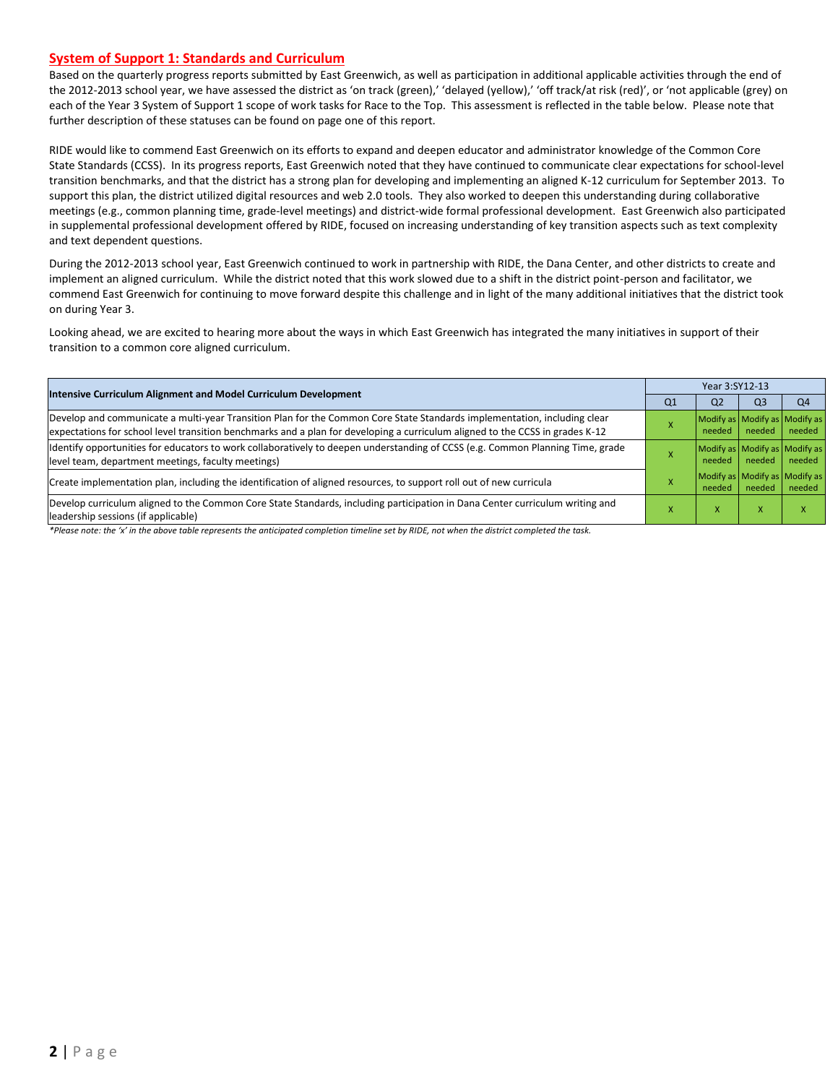#### **System of Support 1: Standards and Curriculum**

Based on the quarterly progress reports submitted by East Greenwich, as well as participation in additional applicable activities through the end of the 2012-2013 school year, we have assessed the district as 'on track (green),' 'delayed (yellow),' 'off track/at risk (red)', or 'not applicable (grey) on each of the Year 3 System of Support 1 scope of work tasks for Race to the Top. This assessment is reflected in the table below. Please note that further description of these statuses can be found on page one of this report.

RIDE would like to commend East Greenwich on its efforts to expand and deepen educator and administrator knowledge of the Common Core State Standards (CCSS). In its progress reports, East Greenwich noted that they have continued to communicate clear expectations for school-level transition benchmarks, and that the district has a strong plan for developing and implementing an aligned K-12 curriculum for September 2013. To support this plan, the district utilized digital resources and web 2.0 tools. They also worked to deepen this understanding during collaborative meetings (e.g., common planning time, grade-level meetings) and district-wide formal professional development. East Greenwich also participated in supplemental professional development offered by RIDE, focused on increasing understanding of key transition aspects such as text complexity and text dependent questions.

During the 2012-2013 school year, East Greenwich continued to work in partnership with RIDE, the Dana Center, and other districts to create and implement an aligned curriculum. While the district noted that this work slowed due to a shift in the district point-person and facilitator, we commend East Greenwich for continuing to move forward despite this challenge and in light of the many additional initiatives that the district took on during Year 3.

Looking ahead, we are excited to hearing more about the ways in which East Greenwich has integrated the many initiatives in support of their transition to a common core aligned curriculum.

| <b>Intensive Curriculum Alignment and Model Curriculum Development</b>                                                                                                                                                                                    | Year 3:SY12-13 |                                         |        |        |  |  |
|-----------------------------------------------------------------------------------------------------------------------------------------------------------------------------------------------------------------------------------------------------------|----------------|-----------------------------------------|--------|--------|--|--|
|                                                                                                                                                                                                                                                           | Q1             | Q2                                      | Q3     | Q4     |  |  |
| Develop and communicate a multi-year Transition Plan for the Common Core State Standards implementation, including clear<br>expectations for school level transition benchmarks and a plan for developing a curriculum aligned to the CCSS in grades K-12 |                | Modify as Modify as Modify as<br>needed | needed | needed |  |  |
| ldentify opportunities for educators to work collaboratively to deepen understanding of CCSS (e.g. Common Planning Time, grade<br>level team, department meetings, faculty meetings)                                                                      |                | Modify as Modify as Modify as<br>needed | needed | needed |  |  |
| Create implementation plan, including the identification of aligned resources, to support roll out of new curricula                                                                                                                                       |                | Modify as Modify as Modify as<br>needed | needed | needed |  |  |
| Develop curriculum aligned to the Common Core State Standards, including participation in Dana Center curriculum writing and<br>leadership sessions (if applicable)                                                                                       |                | x                                       | X      |        |  |  |

*\*Please note: the 'x' in the above table represents the anticipated completion timeline set by RIDE, not when the district completed the task.*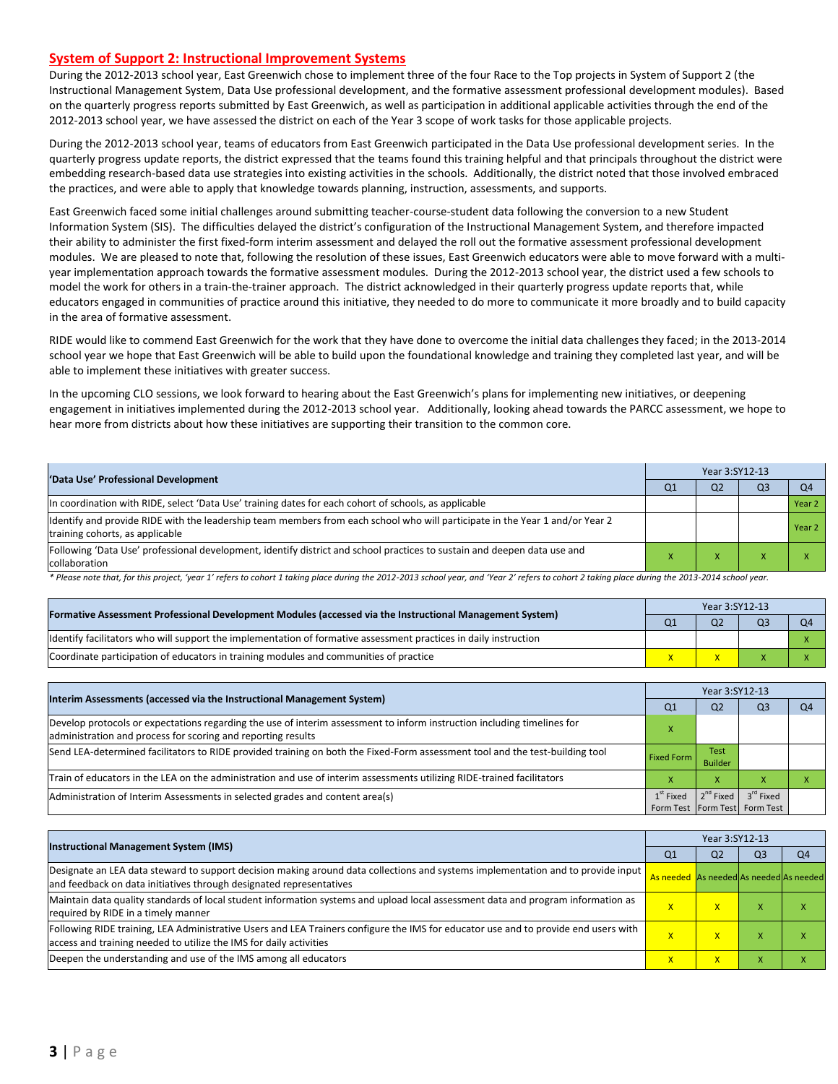#### **System of Support 2: Instructional Improvement Systems**

During the 2012-2013 school year, East Greenwich chose to implement three of the four Race to the Top projects in System of Support 2 (the Instructional Management System, Data Use professional development, and the formative assessment professional development modules). Based on the quarterly progress reports submitted by East Greenwich, as well as participation in additional applicable activities through the end of the 2012-2013 school year, we have assessed the district on each of the Year 3 scope of work tasks for those applicable projects.

During the 2012-2013 school year, teams of educators from East Greenwich participated in the Data Use professional development series. In the quarterly progress update reports, the district expressed that the teams found this training helpful and that principals throughout the district were embedding research-based data use strategies into existing activities in the schools. Additionally, the district noted that those involved embraced the practices, and were able to apply that knowledge towards planning, instruction, assessments, and supports.

East Greenwich faced some initial challenges around submitting teacher-course-student data following the conversion to a new Student Information System (SIS). The difficulties delayed the district's configuration of the Instructional Management System, and therefore impacted their ability to administer the first fixed-form interim assessment and delayed the roll out the formative assessment professional development modules. We are pleased to note that, following the resolution of these issues, East Greenwich educators were able to move forward with a multiyear implementation approach towards the formative assessment modules. During the 2012-2013 school year, the district used a few schools to model the work for others in a train-the-trainer approach. The district acknowledged in their quarterly progress update reports that, while educators engaged in communities of practice around this initiative, they needed to do more to communicate it more broadly and to build capacity in the area of formative assessment.

RIDE would like to commend East Greenwich for the work that they have done to overcome the initial data challenges they faced; in the 2013-2014 school year we hope that East Greenwich will be able to build upon the foundational knowledge and training they completed last year, and will be able to implement these initiatives with greater success.

In the upcoming CLO sessions, we look forward to hearing about the East Greenwich's plans for implementing new initiatives, or deepening engagement in initiatives implemented during the 2012-2013 school year. Additionally, looking ahead towards the PARCC assessment, we hope to hear more from districts about how these initiatives are supporting their transition to the common core.

|                                                                                                                                                                 | Year 3:SY12-13 |                |                |                |  |  |  |
|-----------------------------------------------------------------------------------------------------------------------------------------------------------------|----------------|----------------|----------------|----------------|--|--|--|
| 'Data Use' Professional Development                                                                                                                             | Q <sub>1</sub> | Q <sub>2</sub> | Q <sub>3</sub> | Q <sub>4</sub> |  |  |  |
| In coordination with RIDE, select 'Data Use' training dates for each cohort of schools, as applicable                                                           |                |                |                | Year 2         |  |  |  |
| Identify and provide RIDE with the leadership team members from each school who will participate in the Year 1 and/or Year 2<br>training cohorts, as applicable |                |                |                | Year 2         |  |  |  |
| Following 'Data Use' professional development, identify district and school practices to sustain and deepen data use and<br>collaboration                       |                |                |                |                |  |  |  |

\* Please note that, for this project, 'year 1' refers to cohort 1 taking place during the 2012-2013 school year, and 'Year 2' refers to cohort 2 taking place during the 2013-2014 school year.

|                                                                                                                   | Year 3:SY12-13 |                |  |    |  |  |
|-------------------------------------------------------------------------------------------------------------------|----------------|----------------|--|----|--|--|
| [Formative Assessment Professional Development Modules (accessed via the Instructional Management System)         | Q <sub>1</sub> | Q <sub>2</sub> |  | O4 |  |  |
| Ildentify facilitators who will support the implementation of formative assessment practices in daily instruction |                |                |  |    |  |  |
| Coordinate participation of educators in training modules and communities of practice                             |                |                |  |    |  |  |

|                                                                                                                                                                                         | Year 3:SY12-13 |                               |                                                        |                |  |  |  |
|-----------------------------------------------------------------------------------------------------------------------------------------------------------------------------------------|----------------|-------------------------------|--------------------------------------------------------|----------------|--|--|--|
| Interim Assessments (accessed via the Instructional Management System)                                                                                                                  | Q <sub>1</sub> | Q <sub>2</sub>                | Q3                                                     | Q <sub>4</sub> |  |  |  |
| Develop protocols or expectations regarding the use of interim assessment to inform instruction including timelines for<br>administration and process for scoring and reporting results |                |                               |                                                        |                |  |  |  |
| Send LEA-determined facilitators to RIDE provided training on both the Fixed-Form assessment tool and the test-building tool                                                            | Fixed Form     | <b>Test</b><br><b>Builder</b> |                                                        |                |  |  |  |
| Train of educators in the LEA on the administration and use of interim assessments utilizing RIDE-trained facilitators                                                                  |                | x                             |                                                        |                |  |  |  |
| Administration of Interim Assessments in selected grades and content area(s)                                                                                                            | $1st$ Fixed    | $2^{nd}$ Fixed                | 3 <sup>rd</sup> Fixed<br>Form Test Form Test Form Test |                |  |  |  |

| <b>Instructional Management System (IMS)</b>                                                                                                                                                              |                                         | Year 3:SY12-13          |                |                |  |  |  |
|-----------------------------------------------------------------------------------------------------------------------------------------------------------------------------------------------------------|-----------------------------------------|-------------------------|----------------|----------------|--|--|--|
|                                                                                                                                                                                                           | Q1                                      | Q <sub>2</sub>          | Q <sub>3</sub> | Q <sub>4</sub> |  |  |  |
| Designate an LEA data steward to support decision making around data collections and systems implementation and to provide input<br>and feedback on data initiatives through designated representatives   | As needed As needed As needed As needed |                         |                |                |  |  |  |
| Maintain data quality standards of local student information systems and upload local assessment data and program information as<br>required by RIDE in a timely manner                                   | $\overline{\mathsf{x}}$                 | X                       | ж              |                |  |  |  |
| Following RIDE training, LEA Administrative Users and LEA Trainers configure the IMS for educator use and to provide end users with<br>access and training needed to utilize the IMS for daily activities | $\overline{\mathsf{x}}$                 | X                       | ж              | л              |  |  |  |
| Deepen the understanding and use of the IMS among all educators                                                                                                                                           | $\overline{\mathsf{x}}$                 | $\overline{\mathsf{x}}$ | ж              |                |  |  |  |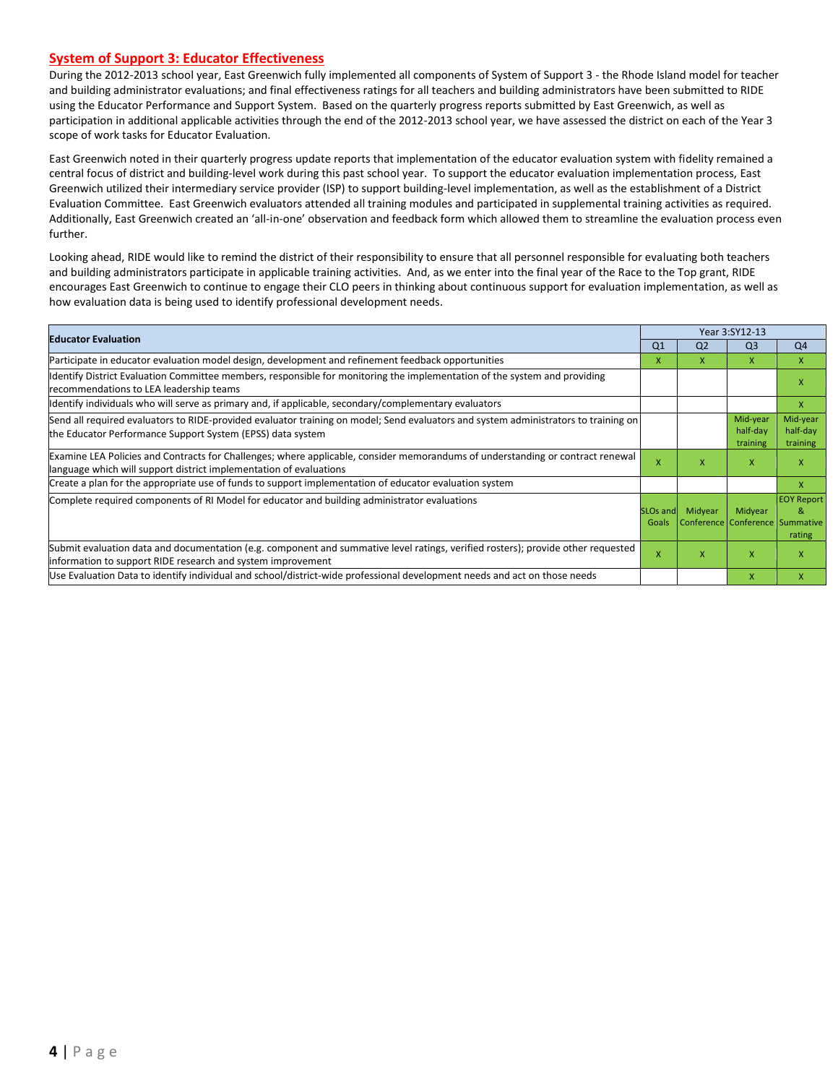#### **System of Support 3: Educator Effectiveness**

During the 2012-2013 school year, East Greenwich fully implemented all components of System of Support 3 - the Rhode Island model for teacher and building administrator evaluations; and final effectiveness ratings for all teachers and building administrators have been submitted to RIDE using the Educator Performance and Support System. Based on the quarterly progress reports submitted by East Greenwich, as well as participation in additional applicable activities through the end of the 2012-2013 school year, we have assessed the district on each of the Year 3 scope of work tasks for Educator Evaluation.

East Greenwich noted in their quarterly progress update reports that implementation of the educator evaluation system with fidelity remained a central focus of district and building-level work during this past school year. To support the educator evaluation implementation process, East Greenwich utilized their intermediary service provider (ISP) to support building-level implementation, as well as the establishment of a District Evaluation Committee. East Greenwich evaluators attended all training modules and participated in supplemental training activities as required. Additionally, East Greenwich created an 'all-in-one' observation and feedback form which allowed them to streamline the evaluation process even further.

Looking ahead, RIDE would like to remind the district of their responsibility to ensure that all personnel responsible for evaluating both teachers and building administrators participate in applicable training activities. And, as we enter into the final year of the Race to the Top grant, RIDE encourages East Greenwich to continue to engage their CLO peers in thinking about continuous support for evaluation implementation, as well as how evaluation data is being used to identify professional development needs.

| <b>Educator Evaluation</b>                                                                                                                                                                           |                               |                | Year 3:SY12-13                             |                                  |
|------------------------------------------------------------------------------------------------------------------------------------------------------------------------------------------------------|-------------------------------|----------------|--------------------------------------------|----------------------------------|
|                                                                                                                                                                                                      | Q <sub>1</sub>                | Q <sub>2</sub> | Q <sub>3</sub>                             | Q <sub>4</sub>                   |
| Participate in educator evaluation model design, development and refinement feedback opportunities                                                                                                   | x                             | X.             | X                                          | $\mathsf{x}$                     |
| Identify District Evaluation Committee members, responsible for monitoring the implementation of the system and providing<br>recommendations to LEA leadership teams                                 |                               |                |                                            | x                                |
| ldentify individuals who will serve as primary and, if applicable, secondary/complementary evaluators                                                                                                |                               |                |                                            | X                                |
| Send all required evaluators to RIDE-provided evaluator training on model; Send evaluators and system administrators to training on<br>the Educator Performance Support System (EPSS) data system    |                               |                | Mid-year<br>half-day<br>training           | Mid-year<br>half-day<br>training |
| Examine LEA Policies and Contracts for Challenges; where applicable, consider memorandums of understanding or contract renewal<br>language which will support district implementation of evaluations | X                             | x              | X                                          | X                                |
| Create a plan for the appropriate use of funds to support implementation of educator evaluation system                                                                                               |                               |                |                                            | X                                |
| Complete required components of RI Model for educator and building administrator evaluations                                                                                                         | SLO <sub>s</sub> and<br>Goals | Midyear        | Midyear<br>Conference Conference Summative | <b>EOY Report</b><br>&<br>rating |
| Submit evaluation data and documentation (e.g. component and summative level ratings, verified rosters); provide other requested<br>linformation to support RIDE research and system improvement     | x                             | x              | $\mathsf{x}$                               | x                                |
| Use Evaluation Data to identify individual and school/district-wide professional development needs and act on those needs                                                                            |                               |                | $\mathsf{x}$                               | x                                |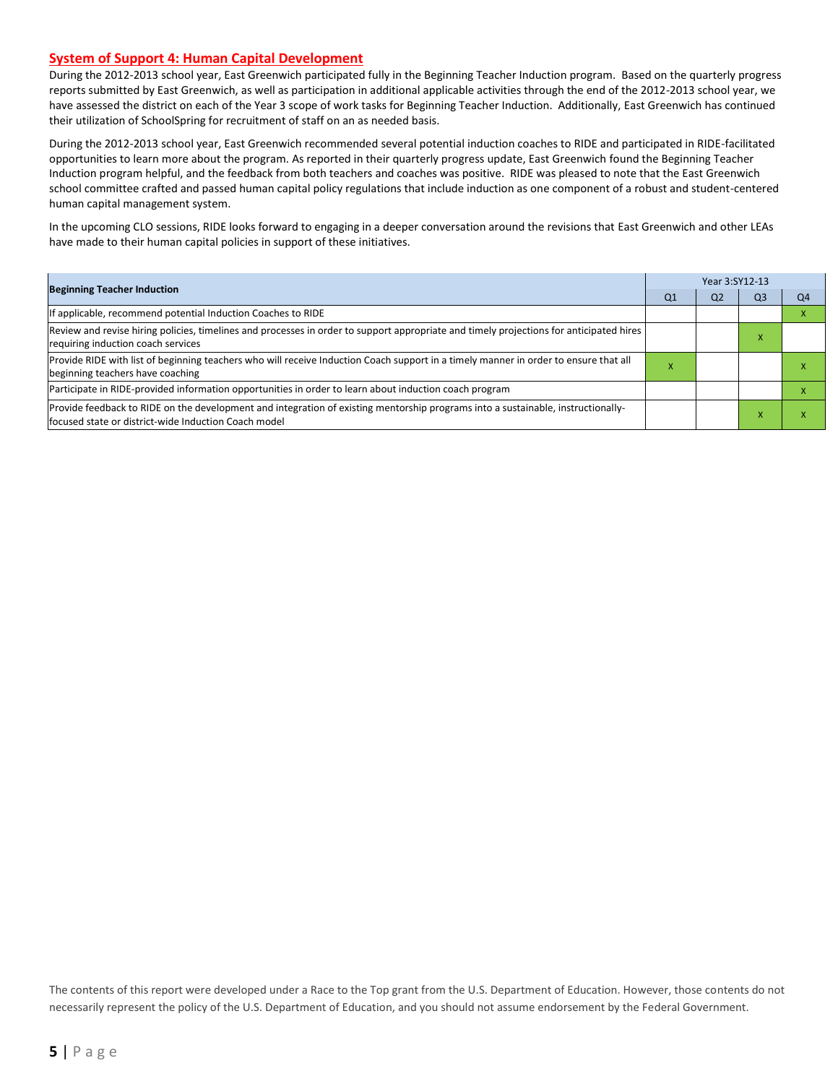#### **System of Support 4: Human Capital Development**

During the 2012-2013 school year, East Greenwich participated fully in the Beginning Teacher Induction program. Based on the quarterly progress reports submitted by East Greenwich, as well as participation in additional applicable activities through the end of the 2012-2013 school year, we have assessed the district on each of the Year 3 scope of work tasks for Beginning Teacher Induction. Additionally, East Greenwich has continued their utilization of SchoolSpring for recruitment of staff on an as needed basis.

During the 2012-2013 school year, East Greenwich recommended several potential induction coaches to RIDE and participated in RIDE-facilitated opportunities to learn more about the program. As reported in their quarterly progress update, East Greenwich found the Beginning Teacher Induction program helpful, and the feedback from both teachers and coaches was positive. RIDE was pleased to note that the East Greenwich school committee crafted and passed human capital policy regulations that include induction as one component of a robust and student-centered human capital management system.

In the upcoming CLO sessions, RIDE looks forward to engaging in a deeper conversation around the revisions that East Greenwich and other LEAs have made to their human capital policies in support of these initiatives.

| <b>Beginning Teacher Induction</b>                                                                                                                                                       |    |    | Year 3:SY12-13 |    |  |  |  |  |
|------------------------------------------------------------------------------------------------------------------------------------------------------------------------------------------|----|----|----------------|----|--|--|--|--|
|                                                                                                                                                                                          | Q1 | Q2 | Q3             | Q4 |  |  |  |  |
| If applicable, recommend potential Induction Coaches to RIDE                                                                                                                             |    |    |                |    |  |  |  |  |
| Review and revise hiring policies, timelines and processes in order to support appropriate and timely projections for anticipated hires<br>requiring induction coach services            |    |    |                |    |  |  |  |  |
| Provide RIDE with list of beginning teachers who will receive Induction Coach support in a timely manner in order to ensure that all<br>beginning teachers have coaching                 |    |    |                |    |  |  |  |  |
| Participate in RIDE-provided information opportunities in order to learn about induction coach program                                                                                   |    |    |                |    |  |  |  |  |
| Provide feedback to RIDE on the development and integration of existing mentorship programs into a sustainable, instructionally-<br>focused state or district-wide Induction Coach model |    |    |                |    |  |  |  |  |

The contents of this report were developed under a Race to the Top grant from the U.S. Department of Education. However, those contents do not necessarily represent the policy of the U.S. Department of Education, and you should not assume endorsement by the Federal Government.